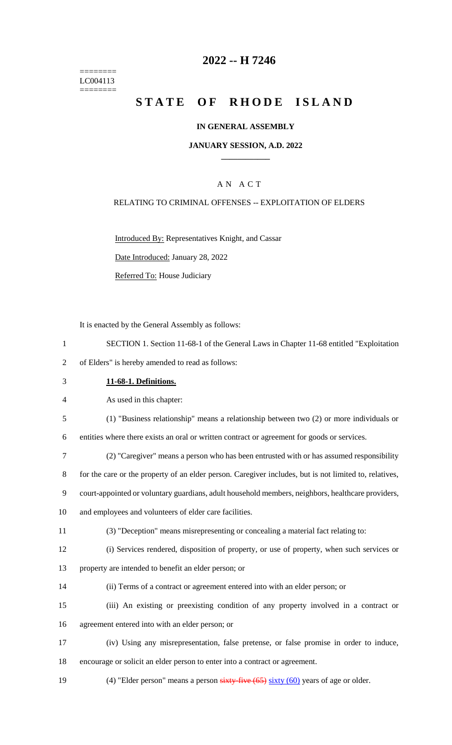======== LC004113 ========

# **2022 -- H 7246**

# **STATE OF RHODE ISLAND**

#### **IN GENERAL ASSEMBLY**

#### **JANUARY SESSION, A.D. 2022 \_\_\_\_\_\_\_\_\_\_\_\_**

### A N A C T

#### RELATING TO CRIMINAL OFFENSES -- EXPLOITATION OF ELDERS

Introduced By: Representatives Knight, and Cassar

Date Introduced: January 28, 2022

Referred To: House Judiciary

It is enacted by the General Assembly as follows:

- 1 SECTION 1. Section 11-68-1 of the General Laws in Chapter 11-68 entitled "Exploitation
- 2 of Elders" is hereby amended to read as follows:
- 3 **11-68-1. Definitions.**

4 As used in this chapter:

5 (1) "Business relationship" means a relationship between two (2) or more individuals or

6 entities where there exists an oral or written contract or agreement for goods or services.

7 (2) "Caregiver" means a person who has been entrusted with or has assumed responsibility

8 for the care or the property of an elder person. Caregiver includes, but is not limited to, relatives,

9 court-appointed or voluntary guardians, adult household members, neighbors, healthcare providers,

10 and employees and volunteers of elder care facilities.

- 11 (3) "Deception" means misrepresenting or concealing a material fact relating to:
- 12 (i) Services rendered, disposition of property, or use of property, when such services or
- 13 property are intended to benefit an elder person; or
- 14 (ii) Terms of a contract or agreement entered into with an elder person; or
- 15 (iii) An existing or preexisting condition of any property involved in a contract or 16 agreement entered into with an elder person; or
- 17 (iv) Using any misrepresentation, false pretense, or false promise in order to induce, 18 encourage or solicit an elder person to enter into a contract or agreement.
- 19 (4) "Elder person" means a person sixty-five (65) sixty (60) years of age or older.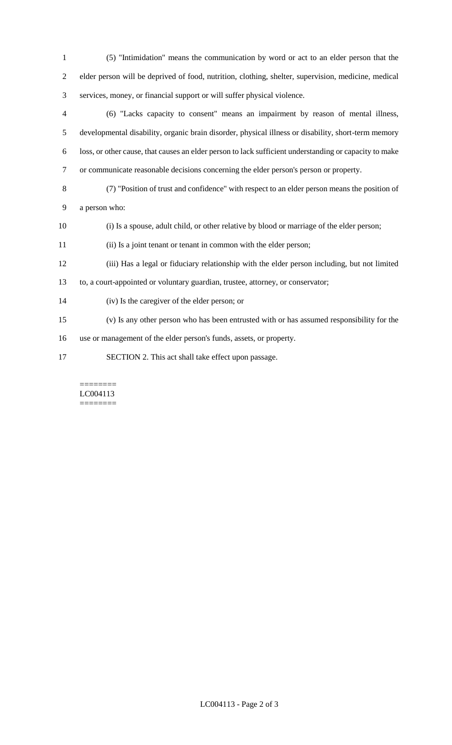| $\mathbf{1}$ | (5) "Intimidation" means the communication by word or act to an elder person that the                  |
|--------------|--------------------------------------------------------------------------------------------------------|
| 2            | elder person will be deprived of food, nutrition, clothing, shelter, supervision, medicine, medical    |
| 3            | services, money, or financial support or will suffer physical violence.                                |
| 4            | (6) "Lacks capacity to consent" means an impairment by reason of mental illness,                       |
| 5            | developmental disability, organic brain disorder, physical illness or disability, short-term memory    |
| 6            | loss, or other cause, that causes an elder person to lack sufficient understanding or capacity to make |
| $\tau$       | or communicate reasonable decisions concerning the elder person's person or property.                  |
| 8            | (7) "Position of trust and confidence" with respect to an elder person means the position of           |
| 9            | a person who:                                                                                          |
| 10           | (i) Is a spouse, adult child, or other relative by blood or marriage of the elder person;              |
| 11           | (ii) Is a joint tenant or tenant in common with the elder person;                                      |
| 12           | (iii) Has a legal or fiduciary relationship with the elder person including, but not limited           |
| 13           | to, a court-appointed or voluntary guardian, trustee, attorney, or conservator;                        |
| 14           | (iv) Is the caregiver of the elder person; or                                                          |
| 15           | (v) Is any other person who has been entrusted with or has assumed responsibility for the              |
| 16           | use or management of the elder person's funds, assets, or property.                                    |
| 17           | SECTION 2. This act shall take effect upon passage.                                                    |

#### $=$ LC004113 ========